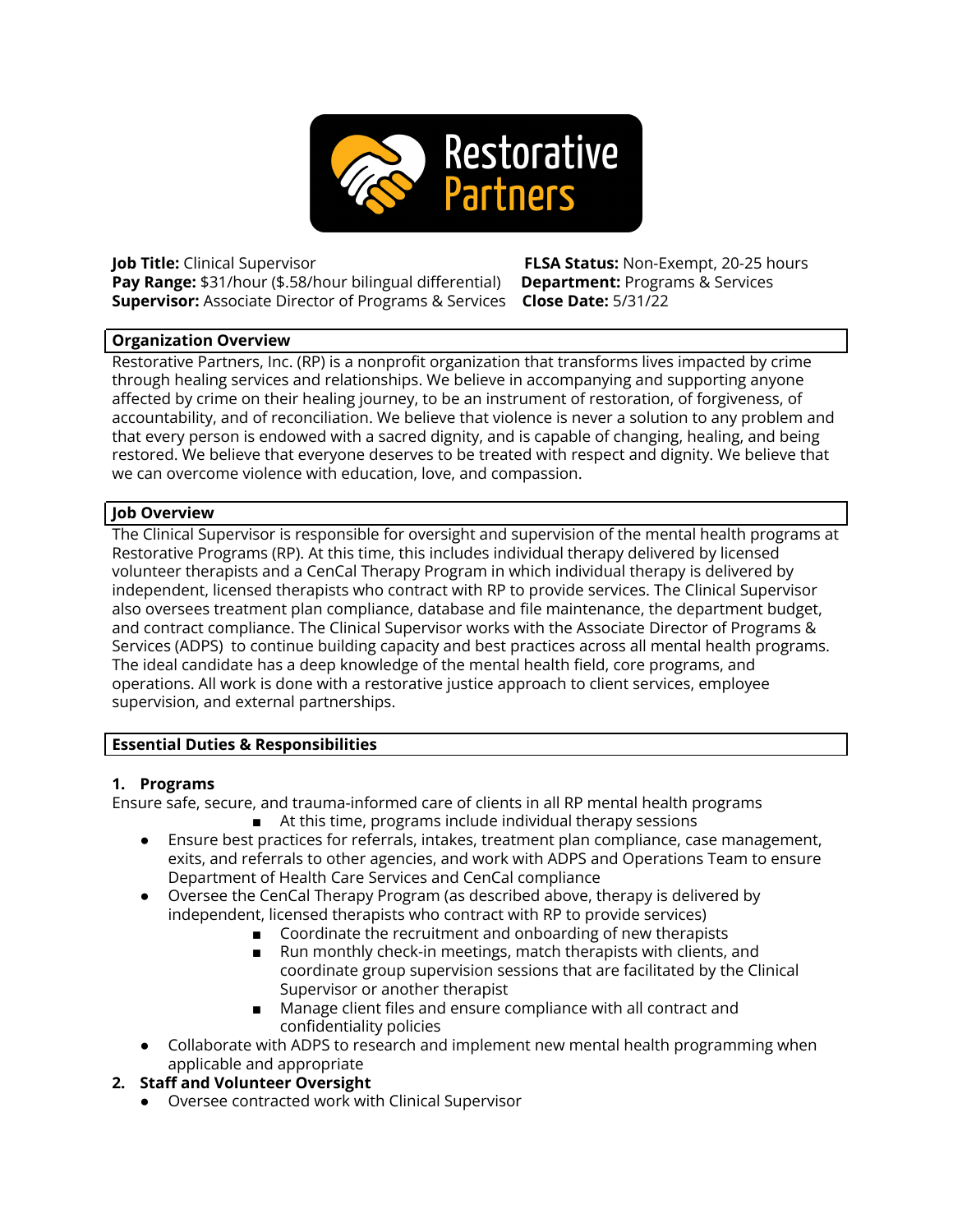

**Pay Range:** \$31/hour (\$.58/hour bilingual differential) **Department:** Programs & Services **Supervisor:** Associate Director of Programs & Services **Close Date:** 5/31/22

**Job Title:** Clinical Supervisor **FLSA Status:** Non-Exempt, 20-25 hours

#### **Organization Overview**

Restorative Partners, Inc. (RP) is a nonprofit organization that transforms lives impacted by crime through healing services and relationships. We believe in accompanying and supporting anyone affected by crime on their healing journey, to be an instrument of restoration, of forgiveness, of accountability, and of reconciliation. We believe that violence is never a solution to any problem and that every person is endowed with a sacred dignity, and is capable of changing, healing, and being restored. We believe that everyone deserves to be treated with respect and dignity. We believe that we can overcome violence with education, love, and compassion.

## **Job Overview**

The Clinical Supervisor is responsible for oversight and supervision of the mental health programs at Restorative Programs (RP). At this time, this includes individual therapy delivered by licensed volunteer therapists and a CenCal Therapy Program in which individual therapy is delivered by independent, licensed therapists who contract with RP to provide services. The Clinical Supervisor also oversees treatment plan compliance, database and file maintenance, the department budget, and contract compliance. The Clinical Supervisor works with the Associate Director of Programs & Services (ADPS) to continue building capacity and best practices across all mental health programs. The ideal candidate has a deep knowledge of the mental health field, core programs, and operations. All work is done with a restorative justice approach to client services, employee supervision, and external partnerships.

## **Essential Duties & Responsibilities**

## **1. Programs**

Ensure safe, secure, and trauma-informed care of clients in all RP mental health programs ■ At this time, programs include individual therapy sessions

- Ensure best practices for referrals, intakes, treatment plan compliance, case management, exits, and referrals to other agencies, and work with ADPS and Operations Team to ensure Department of Health Care Services and CenCal compliance
- Oversee the CenCal Therapy Program (as described above, therapy is delivered by independent, licensed therapists who contract with RP to provide services)
	- Coordinate the recruitment and onboarding of new therapists
	- Run monthly check-in meetings, match therapists with clients, and coordinate group supervision sessions that are facilitated by the Clinical Supervisor or another therapist
	- Manage client files and ensure compliance with all contract and confidentiality policies
- Collaborate with ADPS to research and implement new mental health programming when applicable and appropriate

## **2. Staff and Volunteer Oversight**

● Oversee contracted work with Clinical Supervisor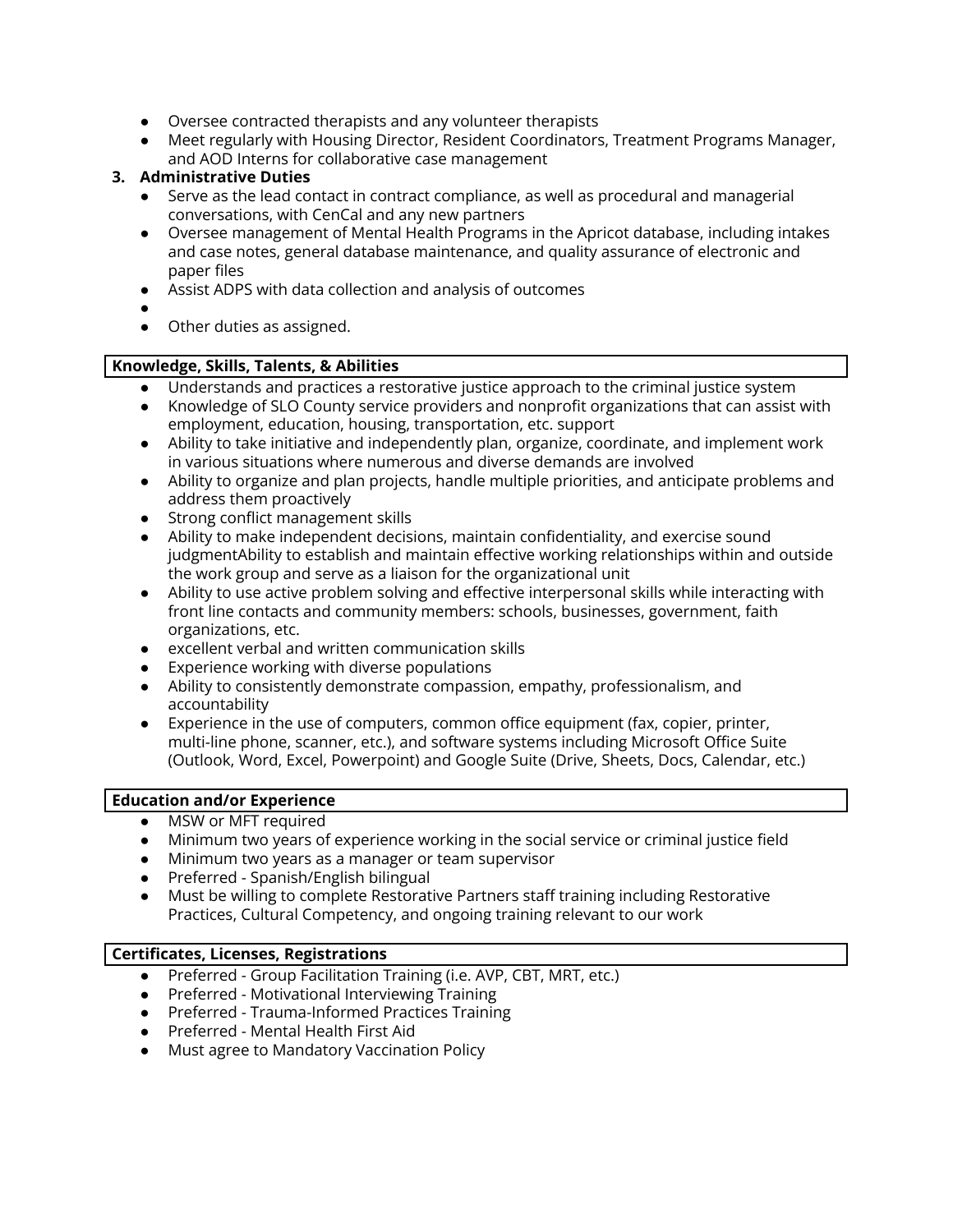- Oversee contracted therapists and any volunteer therapists
- Meet regularly with Housing Director, Resident Coordinators, Treatment Programs Manager, and AOD Interns for collaborative case management

## **3. Administrative Duties**

- Serve as the lead contact in contract compliance, as well as procedural and managerial conversations, with CenCal and any new partners
- Oversee management of Mental Health Programs in the Apricot database, including intakes and case notes, general database maintenance, and quality assurance of electronic and paper files
- Assist ADPS with data collection and analysis of outcomes
- ●
- Other duties as assigned.

## **Knowledge, Skills, Talents, & Abilities**

- Understands and practices a restorative justice approach to the criminal justice system
- Knowledge of SLO County service providers and nonprofit organizations that can assist with employment, education, housing, transportation, etc. support
- Ability to take initiative and independently plan, organize, coordinate, and implement work in various situations where numerous and diverse demands are involved
- Ability to organize and plan projects, handle multiple priorities, and anticipate problems and address them proactively
- Strong conflict management skills
- Ability to make independent decisions, maintain confidentiality, and exercise sound judgmentAbility to establish and maintain effective working relationships within and outside the work group and serve as a liaison for the organizational unit
- Ability to use active problem solving and effective interpersonal skills while interacting with front line contacts and community members: schools, businesses, government, faith organizations, etc.
- excellent verbal and written communication skills
- Experience working with diverse populations
- Ability to consistently demonstrate compassion, empathy, professionalism, and accountability
- Experience in the use of computers, common office equipment (fax, copier, printer, multi-line phone, scanner, etc.), and software systems including Microsoft Office Suite (Outlook, Word, Excel, Powerpoint) and Google Suite (Drive, Sheets, Docs, Calendar, etc.)

#### **Education and/or Experience**

- MSW or MFT required
- Minimum two years of experience working in the social service or criminal justice field
- Minimum two years as a manager or team supervisor
- Preferred Spanish/English bilingual
- Must be willing to complete Restorative Partners staff training including Restorative Practices, Cultural Competency, and ongoing training relevant to our work

## **Certificates, Licenses, Registrations**

- Preferred Group Facilitation Training (i.e. AVP, CBT, MRT, etc.)
- Preferred Motivational Interviewing Training
- Preferred Trauma-Informed Practices Training
- Preferred Mental Health First Aid
- Must agree to Mandatory Vaccination Policy